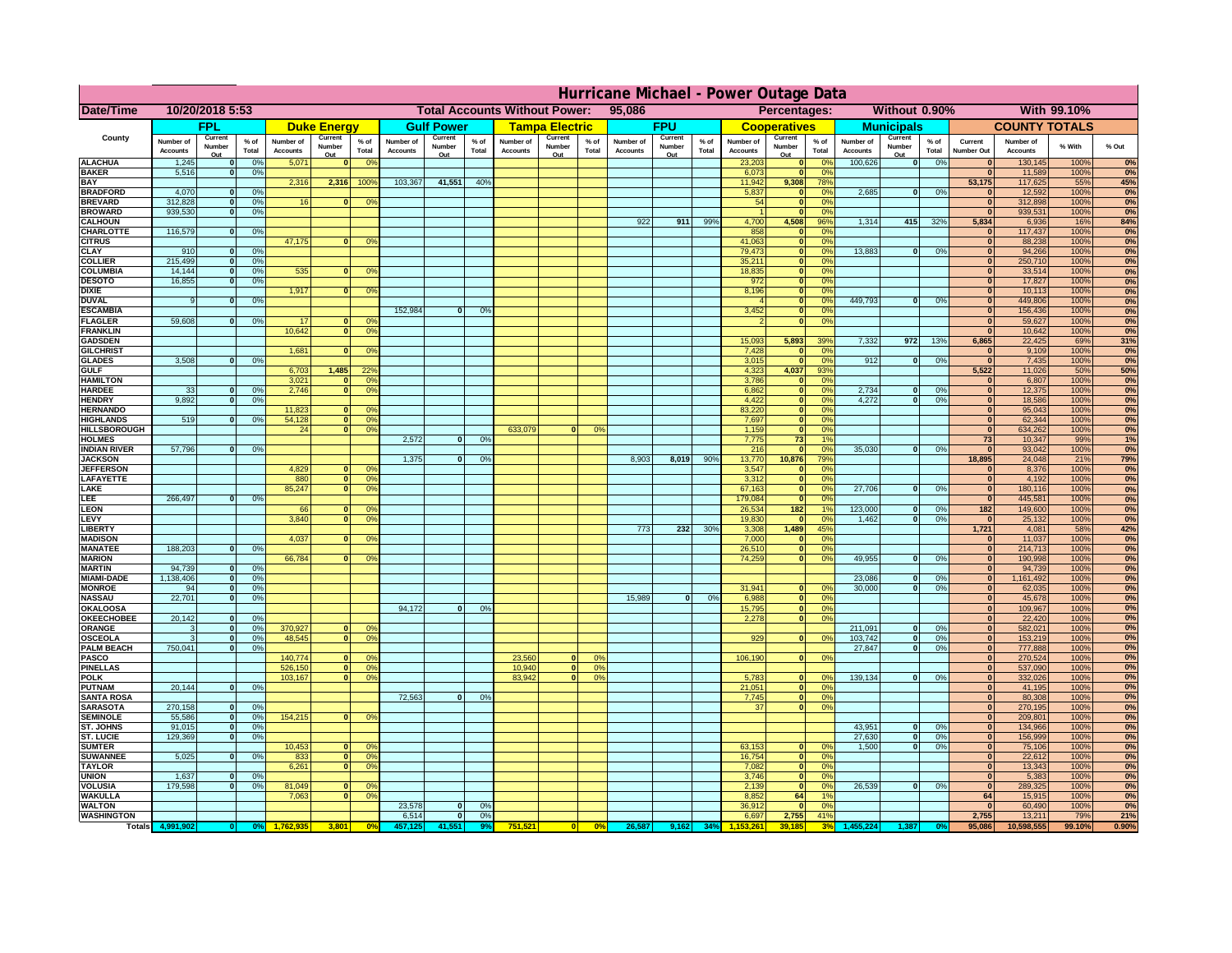|                                      | Hurricane Michael - Power Outage Data |                   |                                  |                              |                      |                                                |                              |                   |                 |                              |                                              |                 |                       |                   |                 |                              |                               |                       |                              |                         |                 |                              |                              |              |           |
|--------------------------------------|---------------------------------------|-------------------|----------------------------------|------------------------------|----------------------|------------------------------------------------|------------------------------|-------------------|-----------------|------------------------------|----------------------------------------------|-----------------|-----------------------|-------------------|-----------------|------------------------------|-------------------------------|-----------------------|------------------------------|-------------------------|-----------------|------------------------------|------------------------------|--------------|-----------|
| <b>Date/Time</b>                     | 10/20/2018 5:53                       |                   |                                  |                              |                      | <b>Total Accounts Without Power:</b><br>95,086 |                              |                   |                 |                              | Without 0.90%<br>With 99.10%<br>Percentages: |                 |                       |                   |                 |                              |                               |                       |                              |                         |                 |                              |                              |              |           |
|                                      |                                       | <b>FPL</b>        |                                  |                              | <b>Duke Energy</b>   |                                                |                              | <b>Gulf Power</b> |                 |                              | <b>Tampa Electric</b>                        |                 |                       | <b>FPU</b>        |                 |                              | <b>Cooperatives</b>           |                       |                              | <b>Municipals</b>       |                 |                              | <b>COUNTY TOTALS</b>         |              |           |
| County                               | Number of<br><b>Accounts</b>          | Current<br>Number | % of<br>Total                    | Number of<br><b>Accounts</b> | Current<br>Number    | $%$ of<br>Total                                | Number of<br><b>Accounts</b> | Current<br>Number | $%$ of<br>Total | Number of<br><b>Accounts</b> | Current<br>Number                            | $%$ of<br>Total | Number of<br>Accounts | Current<br>Number | $%$ of<br>Total | Number of<br><b>Accounts</b> | Current<br>Number             | $%$ of<br>Total       | Number of<br><b>Accounts</b> | Current<br>Number       | $%$ of<br>Total | Current<br><b>Number Out</b> | Number of<br><b>Accounts</b> | % With       | % Out     |
| <b>ALACHUA</b>                       | 1,245                                 | Out               | 0 <sup>9</sup>                   | 5,071                        | Out<br>$\mathbf{0}$  | 0 <sup>9</sup>                                 |                              | Out               |                 |                              | Out                                          |                 |                       | Out               |                 | 23,203                       | Out<br>$\mathbf{0}$           | 0 <sup>9</sup>        | 100,626                      | Out<br> 0               | 0%              | $\bf{0}$                     | 130,145                      | 100%         | 0%        |
| <b>BAKER</b>                         | 5,516                                 |                   | 0%                               |                              |                      |                                                |                              |                   |                 |                              |                                              |                 |                       |                   |                 | 6,073                        | ō                             | 0%                    |                              |                         |                 | $\bf{0}$                     | 11,589                       | 100%         | 0%        |
| <b>BAY</b><br><b>BRADFORD</b>        | 4,070                                 |                   | 0 <sup>9</sup>                   | 2,316                        | 2,316                | 100%                                           | 103,367                      | 41,551            | 40%             |                              |                                              |                 |                       |                   |                 | 11,942<br>5,837              | 9,308<br>$\mathbf{0}$         | 78%<br>0%             | 2,685                        | 0                       | 0%              | 53,175<br>$\bf{0}$           | 117,625<br>12,592            | 55%<br>100%  | 45%<br>0% |
| <b>BREVARD</b>                       | 312,828                               |                   | 0 <sup>9</sup>                   | 16                           | $\mathbf{0}$         | 0 <sup>9</sup>                                 |                              |                   |                 |                              |                                              |                 |                       |                   |                 | 54                           | $\mathbf{0}$                  | 0%                    |                              |                         |                 | $\mathbf{0}$                 | 312,898                      | 100%         | 0%        |
| <b>BROWARD</b>                       | 939.530                               |                   | 0 <sup>9</sup>                   |                              |                      |                                                |                              |                   |                 |                              |                                              |                 |                       |                   |                 |                              | $\mathbf{0}$                  | 0%                    |                              |                         |                 | $\bf{0}$                     | 939,531                      | 100%         | 0%        |
| <b>CALHOUN</b>                       |                                       |                   |                                  |                              |                      |                                                |                              |                   |                 |                              |                                              |                 | 922                   | 911               | 99%             | 4,700                        | 4,508                         | 96%                   | 1,314                        | 415                     | 32%             | 5,834                        | 6,936                        | 16%          | 84%       |
| CHARLOTTE<br><b>CITRUS</b>           | 116,579                               |                   | 0%                               | 47,175                       | $\mathbf{0}$         | 0 <sup>9</sup>                                 |                              |                   |                 |                              |                                              |                 |                       |                   |                 | 858<br>41,063                | $\mathbf 0$<br>$\mathbf{0}$   | 0%<br>0 <sup>9</sup>  |                              |                         |                 | $\bf{0}$<br>$\bf{0}$         | 117,437<br>88,238            | 100%<br>100% | 0%<br>0%  |
| <b>CLAY</b>                          | 910                                   |                   | 0 <sup>9</sup>                   |                              |                      |                                                |                              |                   |                 |                              |                                              |                 |                       |                   |                 | 79,473                       | $\mathbf{0}$                  | 0 <sup>9</sup>        | 13,883                       | 0                       | 0%              | $\bf{0}$                     | 94,266                       | 100%         | 0%        |
| <b>COLLIER</b>                       | 215,499                               |                   | 0 <sup>9</sup>                   |                              |                      |                                                |                              |                   |                 |                              |                                              |                 |                       |                   |                 | 35,211                       | $\mathbf{0}$                  | 0%                    |                              |                         |                 | $\bf{0}$                     | 250,710                      | 100%         | 0%        |
| <b>COLUMBIA</b><br><b>DESOTO</b>     | 14,144<br>16,855                      |                   | 0 <sup>9</sup><br>0 <sup>9</sup> | 535                          | $\bf{0}$             | 0 <sup>9</sup>                                 |                              |                   |                 |                              |                                              |                 |                       |                   |                 | 18,835<br>972                | ō<br>ō                        | 0%<br>0%              |                              |                         |                 | $\bf{0}$<br>$\bf{0}$         | 33,514<br>17,827             | 100%<br>100% | 0%<br>0%  |
| <b>DIXIE</b>                         |                                       |                   |                                  | 1,917                        | $\mathbf{0}$         | 0°                                             |                              |                   |                 |                              |                                              |                 |                       |                   |                 | 8,196                        | $\mathbf{0}$                  | nº                    |                              |                         |                 | $\bf{0}$                     | 10,113                       | 100%         | 0%        |
| <b>DUVAL</b>                         |                                       |                   | 0%                               |                              |                      |                                                |                              |                   |                 |                              |                                              |                 |                       |                   |                 |                              | $\mathbf{0}$                  | 0%                    | 449.793                      | ol                      | 0%              | $\Omega$                     | 449,806                      | 100%         | 0%        |
| <b>ESCAMBIA</b>                      |                                       |                   |                                  |                              |                      |                                                | 152,984                      | $\bf{0}$          | 0 <sup>9</sup>  |                              |                                              |                 |                       |                   |                 | 3,452                        | $\mathbf{0}$                  | 0%                    |                              |                         |                 | $\Omega$                     | 156,436                      | 100%         | 0%        |
| <b>FLAGLER</b><br><b>FRANKLIN</b>    | 59,608                                |                   | 0%                               | 17<br>10,642                 | $\mathbf{0}$<br> 0   | 0 <sup>9</sup><br>0 <sup>9</sup>               |                              |                   |                 |                              |                                              |                 |                       |                   |                 |                              | $\bullet$                     | 0%                    |                              |                         |                 | $\bf{0}$<br>$\Omega$         | 59,627<br>10,642             | 100%<br>100% | 0%<br>0%  |
| <b>GADSDEN</b>                       |                                       |                   |                                  |                              |                      |                                                |                              |                   |                 |                              |                                              |                 |                       |                   |                 | 15,093                       | 5,893                         | 39%                   | 7,332                        | 972                     | 13%             | 6,865                        | 22,425                       | 69%          | 31%       |
| <b>GILCHRIST</b>                     |                                       |                   |                                  | 1,681                        | $\mathbf{0}$         | 0 <sup>9</sup>                                 |                              |                   |                 |                              |                                              |                 |                       |                   |                 | 7,428                        | $\mathbf{0}$                  | 0%                    |                              |                         |                 | $\mathbf{0}$                 | 9,109                        | 100%         | 0%        |
| <b>GLADES</b><br><b>GULF</b>         | 3,508                                 |                   | 0 <sup>9</sup>                   |                              | 1,485                | 22 <sup>o</sup>                                |                              |                   |                 |                              |                                              |                 |                       |                   |                 | 3,015                        | $\bullet$<br>4,037            | 0%<br>93%             | 912                          | $\overline{\mathbf{0}}$ | 0%              | 0                            | 7,435                        | 100%<br>50%  | 0%        |
| <b>HAMILTON</b>                      |                                       |                   |                                  | 6,703<br>3,021               | n l                  | 0 <sup>9</sup>                                 |                              |                   |                 |                              |                                              |                 |                       |                   |                 | 4,323<br>3,786               | $\mathbf{0}$                  | 0%                    |                              |                         |                 | 5,522<br> 0                  | 11,026<br>6,807              | 100%         | 50%<br>0% |
| <b>HARDEE</b>                        | 33                                    |                   | 0%                               | 2.746                        | n l                  | 0 <sup>9</sup>                                 |                              |                   |                 |                              |                                              |                 |                       |                   |                 | 6.862                        | 0                             | 0%                    | 2.734                        | $\bf{0}$                | 0%              | 0                            | 12,375                       | 100%         | 0%        |
| <b>HENDRY</b>                        | 9.892                                 |                   | 0%                               |                              |                      |                                                |                              |                   |                 |                              |                                              |                 |                       |                   |                 | 4.422                        | 0                             | 0%                    | 4.272                        | $\mathbf{0}$            | 0%              | 0                            | 18.586                       | 100%         | 0%        |
| <b>HERNANDO</b><br><b>HIGHLANDS</b>  | 519                                   |                   | 0 <sup>9</sup>                   | 11,823<br>54,128             | <sup>o</sup>         | $\Omega$<br>$\overline{0}$<br>0%               |                              |                   |                 |                              |                                              |                 |                       |                   |                 | 83,220<br>7,697              | 0 <br>$\overline{\mathbf{0}}$ | 0%<br>0%              |                              |                         |                 | 0 <br> 0                     | 95,043<br>62,344             | 100%<br>100% | 0%<br>0%  |
| <b>HILLSBOROUGH</b>                  |                                       |                   |                                  | 24                           |                      | $\overline{0}$<br>0%                           |                              |                   |                 | 633,079                      |                                              | 0 <sup>9</sup>  |                       |                   |                 | 1,159                        | ō                             | 0%                    |                              |                         |                 | 0                            | 634,262                      | 100%         | 0%        |
| <b>HOLMES</b>                        |                                       |                   |                                  |                              |                      |                                                | 2,572                        | $\mathbf{0}$      | 0%              |                              |                                              |                 |                       |                   |                 | 7,775                        | 73                            | 1%                    |                              |                         |                 | 73                           | 10,347                       | 99%          | 1%        |
| <b>INDIAN RIVER</b>                  | 57,796                                |                   | 0%                               |                              |                      |                                                |                              |                   |                 |                              |                                              |                 |                       |                   |                 | 216                          | ō                             | 0%                    | 35,030                       | $\mathbf{0}$            | 0%              | 0                            | 93,042                       | 100%         | 0%        |
| <b>JACKSON</b><br><b>JEFFERSON</b>   |                                       |                   |                                  | 4,829                        | 0                    | 0 <sup>9</sup>                                 | 1,375                        | $\mathbf{0}$      | O <sup>o</sup>  |                              |                                              |                 | 8,903                 | 8,019             | 90%             | 13,770<br>3,547              | 10,876<br>$\mathbf{0}$        | 79%<br>0%             |                              |                         |                 | 18,895<br>$\mathbf{0}$       | 24,048<br>8,376              | 21%<br>100%  | 79%<br>0% |
| LAFAYETTE                            |                                       |                   |                                  | 880                          |                      | $\overline{0}$<br>0%                           |                              |                   |                 |                              |                                              |                 |                       |                   |                 | 3,312                        | $\mathbf{0}$                  | 0%                    |                              |                         |                 | 0                            | 4,192                        | 100%         | 0%        |
| LAKE                                 |                                       |                   |                                  | 85,247                       |                      | $\overline{0}$<br>0%                           |                              |                   |                 |                              |                                              |                 |                       |                   |                 | 67,163                       | $\mathbf 0$                   | 0%                    | 27,706                       | $\mathbf{0}$            | 0%              | 0                            | 180,116                      | 100%         | 0%        |
| LEE                                  | 266,497                               |                   | 0%                               |                              |                      |                                                |                              |                   |                 |                              |                                              |                 |                       |                   |                 | 179,084                      | $\mathbf{0}$                  | 0%                    |                              |                         |                 | 0                            | 445,581                      | 100%         | 0%        |
| <b>LEON</b><br>LEVY                  |                                       |                   |                                  | 66<br>3,840                  | $\Omega$<br>$\Omega$ | O <sup>9</sup><br>0%                           |                              |                   |                 |                              |                                              |                 |                       |                   |                 | 26,534<br>19,830             | 182<br>$\mathbf{0}$           | 1%<br>0%              | 123,000<br>1,462             | $\mathbf{0}$<br>ol      | 0%<br>0%        | 182<br> 0                    | 149,600<br>25,132            | 100%<br>100% | 0%<br>0%  |
| LIBERTY                              |                                       |                   |                                  |                              |                      |                                                |                              |                   |                 |                              |                                              |                 | 773                   | 232               | 30%             | 3,308                        | 1,489                         | 45%                   |                              |                         |                 | 1,721                        | 4,081                        | 58%          | 42%       |
| <b>MADISON</b>                       |                                       |                   |                                  | 4,037                        | n١                   | 0 <sup>9</sup>                                 |                              |                   |                 |                              |                                              |                 |                       |                   |                 | 7,000                        | $\mathbf{0}$                  | 0%                    |                              |                         |                 | 0                            | 11,037                       | 100%         | 0%        |
| <b>MANATEE</b>                       | 188,203                               | $\Omega$          | 0%                               |                              |                      |                                                |                              |                   |                 |                              |                                              |                 |                       |                   |                 | 26,510                       | 0                             | 0%                    |                              |                         |                 | 0                            | 214,713                      | 100%         | 0%        |
| <b>MARION</b><br><b>MARTIN</b>       | 94,739                                | $\Omega$          | 0 <sup>9</sup>                   | 66,784                       |                      | 0°                                             |                              |                   |                 |                              |                                              |                 |                       |                   |                 | 74,259                       |                               | 0 <br>0%              | 49,955                       | $\Omega$                | 0%              | 0 <br> 0                     | 190,998<br>94,739            | 100%<br>100% | 0%<br>0%  |
| <b>MIAMI-DADE</b>                    | 1,138,406                             | $\mathbf{0}$      | 0 <sup>9</sup>                   |                              |                      |                                                |                              |                   |                 |                              |                                              |                 |                       |                   |                 |                              |                               |                       | 23,086                       | $\mathbf 0$             | 0%              | 0                            | 1,161,492                    | 100%         | 0%        |
| <b>MONROE</b>                        | 94                                    | 0                 | 0%                               |                              |                      |                                                |                              |                   |                 |                              |                                              |                 |                       |                   |                 | 31,941                       | $\mathbf{0}$                  | 0 <sup>9</sup>        | 30,000                       | $\mathbf{0}$            | 0%              | 0                            | 62,035                       | 100%         | 0%        |
| <b>NASSAU</b>                        | 22,701                                | 0                 | 0%                               |                              |                      |                                                |                              |                   |                 |                              |                                              |                 | 15,989                | 0                 | 0%              | 6,988                        |                               | 0 <br>0%              |                              |                         |                 | 0                            | 45,678                       | 100%         | 0%        |
| OKALOOSA<br><b>OKEECHOBEE</b>        | 20,142                                |                   | 0%                               |                              |                      |                                                | 94,172                       | $\bf{0}$          | 0%              |                              |                                              |                 |                       |                   |                 | 15,795<br>2,278              | 0                             | 0%<br>0%<br> 0        |                              |                         |                 | 0 <br> 0                     | 109,967<br>22,420            | 100%<br>100% | 0%<br>0%  |
| ORANGE                               |                                       | $\Omega$          | 0 <sup>9</sup>                   | 370,927                      | $\Omega$             | 0 <sup>6</sup>                                 |                              |                   |                 |                              |                                              |                 |                       |                   |                 |                              |                               |                       | 211,091                      | $\mathbf{0}$            | 0%              | 0                            | 582,021                      | 100%         | 0%        |
| <b>OSCEOLA</b>                       |                                       | $\Omega$          | 0 <sup>9</sup>                   | 48,545                       | $\Omega$             | 0 <sup>9</sup>                                 |                              |                   |                 |                              |                                              |                 |                       |                   |                 | 929                          |                               | 0 <br>0 <sup>9</sup>  | 103,742                      | 0                       | 0%              | 0                            | 153,219                      | 100%         | 0%        |
| <b>PALM BEACH</b>                    | 750,041                               | $\Omega$          | 0 <sup>9</sup>                   |                              |                      |                                                |                              |                   |                 |                              |                                              |                 |                       |                   |                 |                              |                               |                       | 27,847                       | $\overline{0}$          | 0%              | 0                            | 777,888                      | 100%         | 0%        |
| PASCO<br><b>PINELLAS</b>             |                                       |                   |                                  | 140,774<br>526,150           | $\Omega$             | 0 <sup>6</sup><br>0 <sup>9</sup><br> 0         |                              |                   |                 | 23,560<br>10,940             | $\Omega$<br>$\overline{\mathbf{0}}$          | 0%<br>0%        |                       |                   |                 | 106,190                      |                               | 0 <br>0%              |                              |                         |                 | 0 <br>$\mathbf{0}$           | 270,524<br>537,090           | 100%<br>100% | 0%<br>0%  |
| <b>POLK</b>                          |                                       |                   |                                  | 103,167                      |                      | 0 <sup>9</sup><br> 0                           |                              |                   |                 | 83,942                       | 0                                            | 0%              |                       |                   |                 | 5,783                        | 0                             | nº                    | 139,134                      | 0                       | 0%              | 0                            | 332,026                      | 100%         | 0%        |
| <b>PUTNAM</b>                        | 20,144                                | $\mathbf{0}$      | 0%                               |                              |                      |                                                |                              |                   |                 |                              |                                              |                 |                       |                   |                 | 21,051                       | 0                             | 0%                    |                              |                         |                 | $\mathbf{0}$                 | 41,195                       | 100%         | 0%        |
| <b>SANTA ROSA</b><br><b>SARASOTA</b> | 270,158                               | $\Omega$          | 0%                               |                              |                      |                                                | 72,563                       | 0                 | 0%              |                              |                                              |                 |                       |                   |                 | 7,745<br>37                  |                               | 0 <br>0%<br> 0 <br>0% |                              |                         |                 | $\mathbf{0}$<br>$\mathbf{0}$ | 80,308                       | 100%<br>100% | 0%<br>0%  |
| <b>SEMINOLE</b>                      | 55,586                                | $\mathbf{0}$      | 0 <sup>9</sup>                   | 154,215                      |                      | $\mathbf{0}$<br>0%                             |                              |                   |                 |                              |                                              |                 |                       |                   |                 |                              |                               |                       |                              |                         |                 | $\mathbf{0}$                 | 270,195<br>209,801           | 100%         | 0%        |
| <b>ST. JOHNS</b>                     | 91.015                                | $\Omega$          | 0%                               |                              |                      |                                                |                              |                   |                 |                              |                                              |                 |                       |                   |                 |                              |                               |                       | 43,951                       | -ol                     | 0%              | 0                            | 134,966                      | 100%         | 0%        |
| <b>ST. LUCIE</b>                     | 129.369                               | $\Omega$          | 0%                               |                              |                      |                                                |                              |                   |                 |                              |                                              |                 |                       |                   |                 |                              |                               |                       | 27.630                       | - O I                   | 0%              | 0                            | 156.999                      | 100%         | 0%        |
| <b>SUMTER</b><br><b>SUWANNEE</b>     | 5,025                                 | $\Omega$          | 0%                               | 10,453<br>833                | $\mathbf{0}$         | $\Omega$<br>0 <sup>9</sup>                     |                              |                   |                 |                              |                                              |                 |                       |                   |                 | 63,153<br>16,754             | $\mathbf{0}$<br> 0            | 0%<br>0%              | 1.500                        | 0                       | 0%              | 0 <br> 0                     | 75,106<br>22,612             | 100%<br>100% | 0%<br>0%  |
| <b>TAYLOR</b>                        |                                       |                   |                                  | 6,261                        |                      | 0 <br> 0 <br>0 <sup>9</sup>                    |                              |                   |                 |                              |                                              |                 |                       |                   |                 | 7,082                        | 0                             | 0%                    |                              |                         |                 | $\bf{0}$                     | 13,343                       | 100%         | 0%        |
| <b>UNION</b>                         | 1,637                                 |                   | 0 <sup>9</sup>                   |                              |                      |                                                |                              |                   |                 |                              |                                              |                 |                       |                   |                 | 3,746                        | $\mathbf 0$                   | 0%                    |                              |                         |                 | $\bf{0}$                     | 5,383                        | 100%         | 0%        |
| VOLUSIA                              | 179,598                               |                   | 0%                               | 81,049                       | $\mathbf{0}$         | 0 <sup>6</sup>                                 |                              |                   |                 |                              |                                              |                 |                       |                   |                 | 2,139                        | 0                             | 0%                    | 26,539                       | 0                       | 0%              | 0                            | 289,325                      | 100%         | 0%        |
| <b>WAKULLA</b><br><b>WALTON</b>      |                                       |                   |                                  | 7,063                        | $\mathbf{0}$         | 0 <sup>9</sup>                                 | 23,578                       | $\mathbf{0}$      | 0%              |                              |                                              |                 |                       |                   |                 | 8,852<br>36,912              | 64<br>$\mathbf 0$             | 1%<br>0%              |                              |                         |                 | 64<br>$\mathbf{0}$           | 15,915<br>60,490             | 100%<br>100% | 0%<br>0%  |
| <b>WASHINGTON</b>                    |                                       |                   |                                  |                              |                      |                                                | 6,514                        | $\mathbf{0}$      | 0%              |                              |                                              |                 |                       |                   |                 | 6,697                        | 2,755                         | 41%                   |                              |                         |                 | 2,755                        | 13,211                       | 79%          | 21%       |
| Totals 4,9                           |                                       |                   |                                  |                              | 3,801                | 0 <sup>o</sup>                                 |                              | 41.551            |                 | 751,521                      |                                              | 0%              | 26,587                | 9,162             | 34%             |                              | 39,185                        |                       |                              |                         |                 | 95,086                       | 10,598,555                   | 99.10%       | 0.90%     |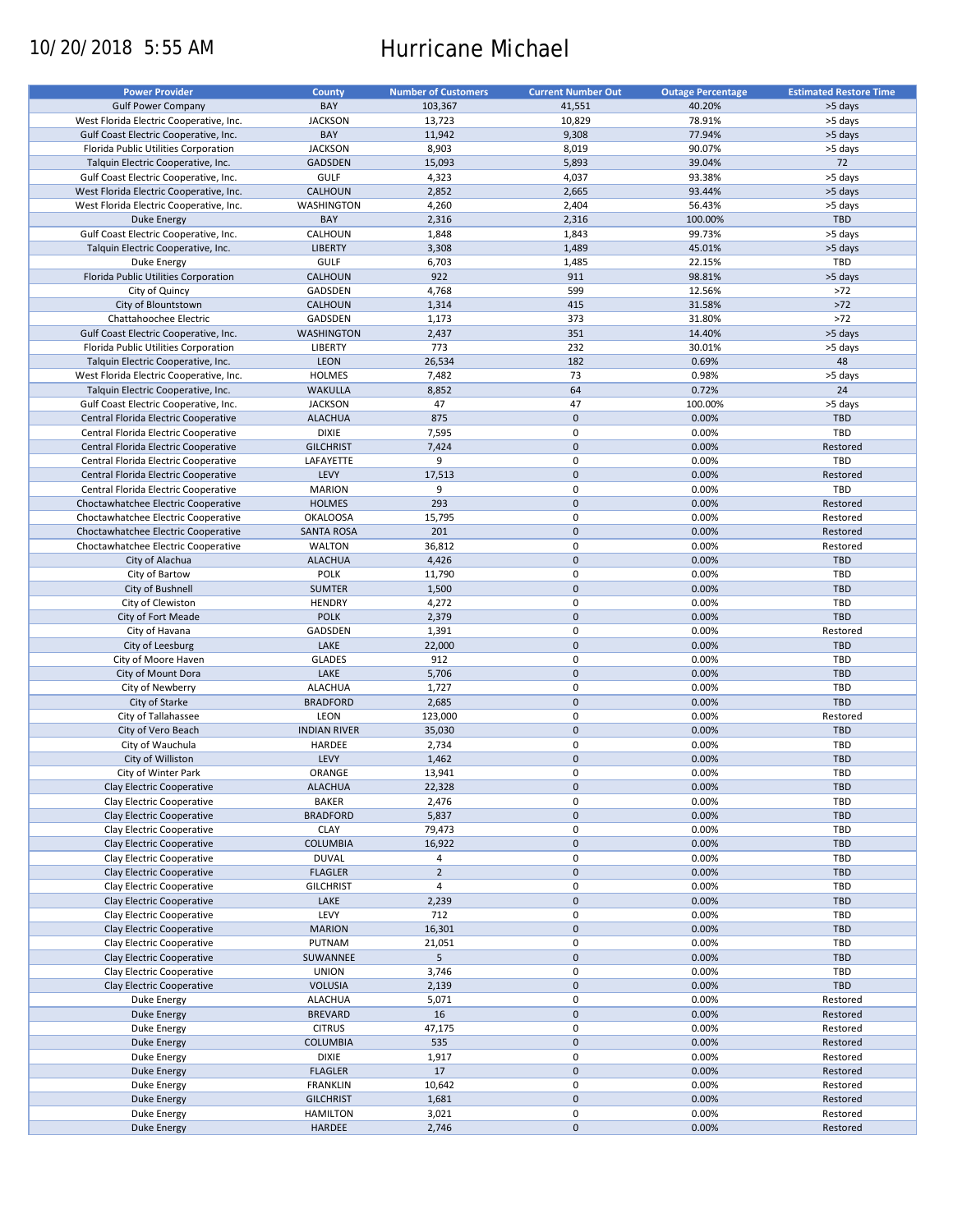# 10/20/2018 5:55 AM Hurricane Michael

| <b>Power Provider</b>                   | County              | <b>Number of Customers</b> | <b>Current Number Out</b> |                          | <b>Estimated Restore Time</b> |
|-----------------------------------------|---------------------|----------------------------|---------------------------|--------------------------|-------------------------------|
|                                         |                     |                            |                           | <b>Outage Percentage</b> |                               |
| <b>Gulf Power Company</b>               | BAY                 | 103,367                    | 41,551                    | 40.20%                   | >5 days                       |
| West Florida Electric Cooperative, Inc. | <b>JACKSON</b>      | 13,723                     | 10,829                    | 78.91%                   | >5 days                       |
| Gulf Coast Electric Cooperative, Inc.   | BAY                 | 11,942                     | 9,308                     | 77.94%                   | >5 days                       |
| Florida Public Utilities Corporation    | <b>JACKSON</b>      | 8,903                      | 8,019                     | 90.07%                   | >5 days                       |
| Talquin Electric Cooperative, Inc.      | <b>GADSDEN</b>      | 15,093                     | 5,893                     | 39.04%                   | 72                            |
| Gulf Coast Electric Cooperative, Inc.   | <b>GULF</b>         | 4,323                      | 4,037                     | 93.38%                   | >5 days                       |
| West Florida Electric Cooperative, Inc. | CALHOUN             | 2,852                      | 2,665                     | 93.44%                   | >5 days                       |
|                                         |                     |                            |                           |                          |                               |
| West Florida Electric Cooperative, Inc. | WASHINGTON          | 4,260                      | 2,404                     | 56.43%                   | >5 days                       |
| <b>Duke Energy</b>                      | BAY                 | 2,316                      | 2,316                     | 100.00%                  | TBD                           |
| Gulf Coast Electric Cooperative, Inc.   | CALHOUN             | 1,848                      | 1,843                     | 99.73%                   | >5 days                       |
| Talquin Electric Cooperative, Inc.      | <b>LIBERTY</b>      | 3,308                      | 1,489                     | 45.01%                   | >5 days                       |
| Duke Energy                             | <b>GULF</b>         | 6,703                      | 1,485                     | 22.15%                   | TBD                           |
| Florida Public Utilities Corporation    | CALHOUN             | 922                        | 911                       | 98.81%                   | >5 days                       |
| City of Quincy                          | GADSDEN             | 4,768                      | 599                       | 12.56%                   | $>72$                         |
|                                         |                     |                            |                           |                          |                               |
| City of Blountstown                     | CALHOUN             | 1,314                      | 415                       | 31.58%                   | $>72$                         |
| Chattahoochee Electric                  | GADSDEN             | 1,173                      | 373                       | 31.80%                   | $>72$                         |
| Gulf Coast Electric Cooperative, Inc.   | <b>WASHINGTON</b>   | 2,437                      | 351                       | 14.40%                   | >5 days                       |
| Florida Public Utilities Corporation    | LIBERTY             | 773                        | 232                       | 30.01%                   | >5 days                       |
| Talquin Electric Cooperative, Inc.      | LEON                | 26,534                     | 182                       | 0.69%                    | 48                            |
| West Florida Electric Cooperative, Inc. | <b>HOLMES</b>       | 7,482                      | 73                        | 0.98%                    | >5 days                       |
| Talquin Electric Cooperative, Inc.      | <b>WAKULLA</b>      | 8,852                      | 64                        | 0.72%                    | 24                            |
|                                         |                     |                            |                           |                          |                               |
| Gulf Coast Electric Cooperative, Inc.   | <b>JACKSON</b>      | 47                         | 47                        | 100.00%                  | >5 days                       |
| Central Florida Electric Cooperative    | <b>ALACHUA</b>      | 875                        | $\mathbf 0$               | 0.00%                    | <b>TBD</b>                    |
| Central Florida Electric Cooperative    | <b>DIXIE</b>        | 7,595                      | 0                         | 0.00%                    | TBD                           |
| Central Florida Electric Cooperative    | <b>GILCHRIST</b>    | 7,424                      | $\mathbf 0$               | 0.00%                    | Restored                      |
| Central Florida Electric Cooperative    | LAFAYETTE           | 9                          | 0                         | 0.00%                    | TBD                           |
| Central Florida Electric Cooperative    | LEVY                | 17,513                     | $\mathbf 0$               | 0.00%                    | Restored                      |
| Central Florida Electric Cooperative    | <b>MARION</b>       | 9                          | $\mathbf 0$               | 0.00%                    | TBD                           |
|                                         |                     |                            |                           |                          |                               |
| Choctawhatchee Electric Cooperative     | <b>HOLMES</b>       | 293                        | $\mathbf 0$               | 0.00%                    | Restored                      |
| Choctawhatchee Electric Cooperative     | <b>OKALOOSA</b>     | 15,795                     | 0                         | 0.00%                    | Restored                      |
| Choctawhatchee Electric Cooperative     | <b>SANTA ROSA</b>   | 201                        | $\mathbf 0$               | 0.00%                    | Restored                      |
| Choctawhatchee Electric Cooperative     | <b>WALTON</b>       | 36,812                     | 0                         | 0.00%                    | Restored                      |
| City of Alachua                         | <b>ALACHUA</b>      | 4,426                      | $\mathbf 0$               | 0.00%                    | <b>TBD</b>                    |
| City of Bartow                          | <b>POLK</b>         | 11,790                     | $\mathbf 0$               | 0.00%                    | TBD                           |
| City of Bushnell                        | <b>SUMTER</b>       | 1,500                      | $\mathbf 0$               | 0.00%                    | <b>TBD</b>                    |
|                                         |                     |                            | 0                         | 0.00%                    | TBD                           |
| City of Clewiston                       | <b>HENDRY</b>       | 4,272                      |                           |                          |                               |
| City of Fort Meade                      | <b>POLK</b>         | 2,379                      | $\mathbf 0$               | 0.00%                    | <b>TBD</b>                    |
| City of Havana                          | GADSDEN             | 1,391                      | $\mathbf 0$               | 0.00%                    | Restored                      |
| City of Leesburg                        | LAKE                | 22,000                     | $\mathbf 0$               | 0.00%                    | <b>TBD</b>                    |
| City of Moore Haven                     | <b>GLADES</b>       | 912                        | $\mathbf 0$               | 0.00%                    | TBD                           |
| City of Mount Dora                      | LAKE                | 5,706                      | $\mathbf 0$               | 0.00%                    | <b>TBD</b>                    |
| City of Newberry                        | <b>ALACHUA</b>      | 1,727                      | 0                         | 0.00%                    | <b>TBD</b>                    |
| City of Starke                          | <b>BRADFORD</b>     | 2,685                      | $\mathbf 0$               | 0.00%                    | <b>TBD</b>                    |
|                                         |                     |                            |                           |                          |                               |
| City of Tallahassee                     | LEON                | 123,000                    | $\mathbf 0$               | 0.00%                    | Restored                      |
| City of Vero Beach                      | <b>INDIAN RIVER</b> | 35,030                     | $\mathbf 0$               | 0.00%                    | <b>TBD</b>                    |
| City of Wauchula                        | HARDEE              | 2,734                      | 0                         | 0.00%                    | TBD                           |
| City of Williston                       | LEVY                | 1,462                      | $\mathbf 0$               | 0.00%                    | <b>TBD</b>                    |
| City of Winter Park                     | ORANGE              | 13,941                     | $\mathbf 0$               | 0.00%                    | TBD                           |
| Clay Electric Cooperative               | <b>ALACHUA</b>      | 22,328                     | $\pmb{0}$                 | 0.00%                    | <b>TBD</b>                    |
| Clay Electric Cooperative               | <b>BAKER</b>        | 2,476                      | 0                         | 0.00%                    | TBD                           |
|                                         |                     |                            |                           |                          |                               |
| Clay Electric Cooperative               | <b>BRADFORD</b>     | 5,837                      | $\pmb{0}$                 | 0.00%                    | TBD                           |
| Clay Electric Cooperative               | <b>CLAY</b>         | 79,473                     | 0                         | 0.00%                    | TBD                           |
| Clay Electric Cooperative               | <b>COLUMBIA</b>     | 16,922                     | $\pmb{0}$                 | 0.00%                    | <b>TBD</b>                    |
| Clay Electric Cooperative               | <b>DUVAL</b>        | 4                          | 0                         | 0.00%                    | TBD                           |
| Clay Electric Cooperative               | <b>FLAGLER</b>      | $\overline{2}$             | $\pmb{0}$                 | 0.00%                    | <b>TBD</b>                    |
| Clay Electric Cooperative               | <b>GILCHRIST</b>    | $\overline{4}$             | 0                         | 0.00%                    | TBD                           |
| Clay Electric Cooperative               | LAKE                | 2,239                      | $\pmb{0}$                 | 0.00%                    | <b>TBD</b>                    |
|                                         |                     |                            | 0                         |                          |                               |
| Clay Electric Cooperative               | LEVY                | 712                        |                           | 0.00%                    | TBD                           |
| Clay Electric Cooperative               | <b>MARION</b>       | 16,301                     | $\pmb{0}$                 | 0.00%                    | <b>TBD</b>                    |
| Clay Electric Cooperative               | PUTNAM              | 21,051                     | $\pmb{0}$                 | 0.00%                    | TBD                           |
| Clay Electric Cooperative               | SUWANNEE            | 5 <sup>5</sup>             | $\pmb{0}$                 | 0.00%                    | <b>TBD</b>                    |
| Clay Electric Cooperative               | <b>UNION</b>        | 3,746                      | $\pmb{0}$                 | 0.00%                    | TBD                           |
| Clay Electric Cooperative               | <b>VOLUSIA</b>      | 2,139                      | $\pmb{0}$                 | 0.00%                    | TBD                           |
| Duke Energy                             | <b>ALACHUA</b>      | 5,071                      | $\pmb{0}$                 | 0.00%                    | Restored                      |
|                                         |                     |                            |                           |                          |                               |
| Duke Energy                             | <b>BREVARD</b>      | 16                         | $\pmb{0}$                 | 0.00%                    | Restored                      |
| Duke Energy                             | <b>CITRUS</b>       | 47,175                     | $\mathbf 0$               | 0.00%                    | Restored                      |
| <b>Duke Energy</b>                      | <b>COLUMBIA</b>     | 535                        | $\pmb{0}$                 | 0.00%                    | Restored                      |
| Duke Energy                             | <b>DIXIE</b>        | 1,917                      | $\pmb{0}$                 | 0.00%                    | Restored                      |
| Duke Energy                             | <b>FLAGLER</b>      | 17                         | $\pmb{0}$                 | 0.00%                    | Restored                      |
| Duke Energy                             | <b>FRANKLIN</b>     | 10,642                     | 0                         | 0.00%                    | Restored                      |
| <b>Duke Energy</b>                      | <b>GILCHRIST</b>    | 1,681                      | $\pmb{0}$                 | 0.00%                    | Restored                      |
|                                         |                     |                            |                           |                          |                               |
| Duke Energy                             | <b>HAMILTON</b>     | 3,021                      | 0                         | 0.00%                    | Restored                      |
| <b>Duke Energy</b>                      | HARDEE              | 2,746                      | $\pmb{0}$                 | 0.00%                    | Restored                      |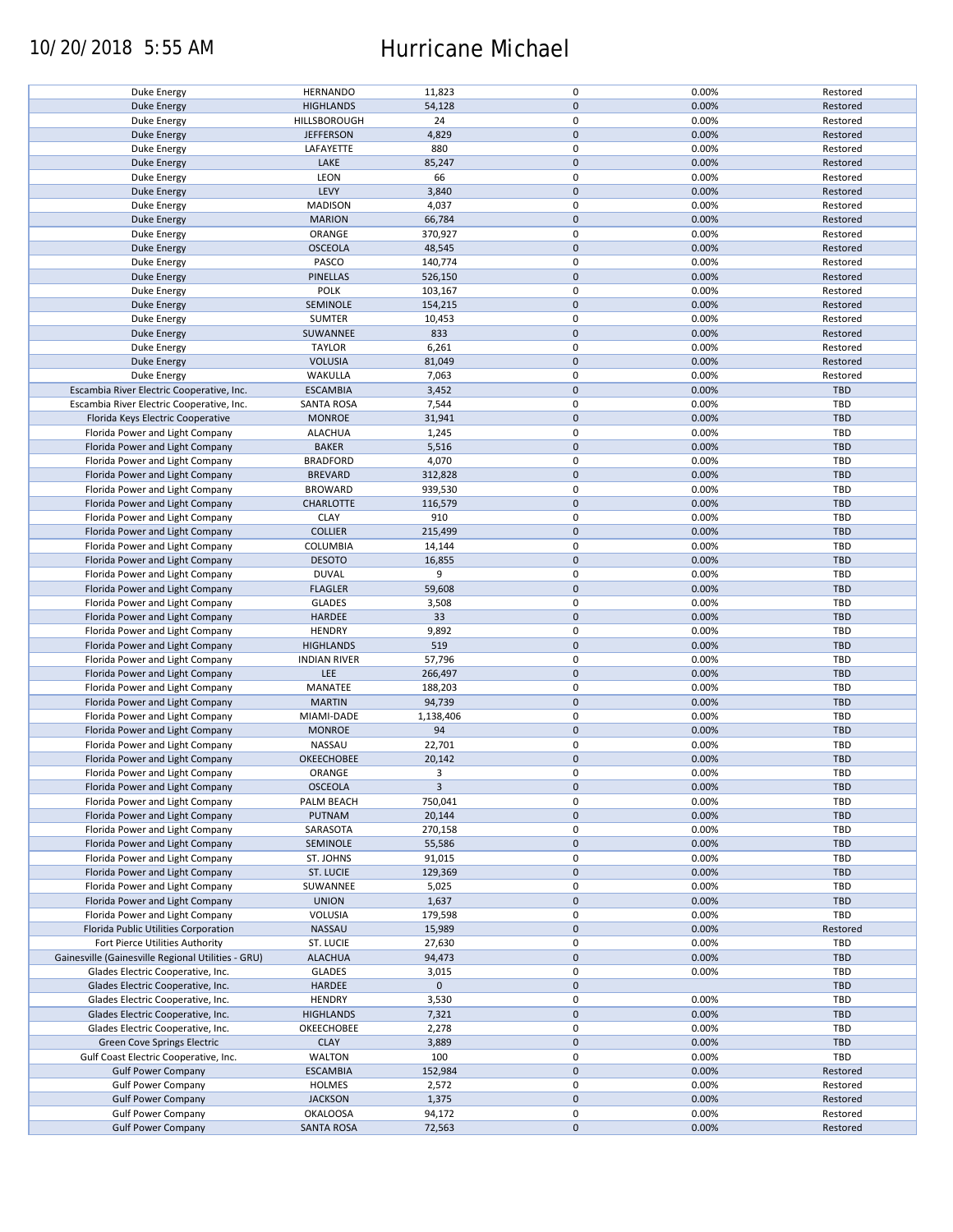# 10/20/2018 5:55 AM Hurricane Michael

| Duke Energy                                        | <b>HERNANDO</b>     | 11,823       | 0           | 0.00% | Restored   |
|----------------------------------------------------|---------------------|--------------|-------------|-------|------------|
| <b>Duke Energy</b>                                 | <b>HIGHLANDS</b>    | 54,128       | $\pmb{0}$   | 0.00% | Restored   |
|                                                    |                     |              |             |       |            |
| Duke Energy                                        | HILLSBOROUGH        | 24           | 0           | 0.00% | Restored   |
| <b>Duke Energy</b>                                 | <b>JEFFERSON</b>    | 4,829        | $\mathbf 0$ | 0.00% | Restored   |
| Duke Energy                                        | LAFAYETTE           | 880          | 0           | 0.00% | Restored   |
|                                                    |                     |              |             |       |            |
| <b>Duke Energy</b>                                 | LAKE                | 85,247       | $\pmb{0}$   | 0.00% | Restored   |
| Duke Energy                                        | LEON                | 66           | 0           | 0.00% | Restored   |
| <b>Duke Energy</b>                                 | LEVY                | 3,840        | $\mathbf 0$ | 0.00% | Restored   |
|                                                    |                     |              |             |       |            |
| Duke Energy                                        | <b>MADISON</b>      | 4,037        | 0           | 0.00% | Restored   |
| <b>Duke Energy</b>                                 | <b>MARION</b>       | 66,784       | $\pmb{0}$   | 0.00% | Restored   |
|                                                    |                     |              |             |       |            |
| Duke Energy                                        | ORANGE              | 370,927      | 0           | 0.00% | Restored   |
| <b>Duke Energy</b>                                 | <b>OSCEOLA</b>      | 48,545       | $\mathbf 0$ | 0.00% | Restored   |
| Duke Energy                                        | PASCO               | 140,774      | $\mathbf 0$ | 0.00% | Restored   |
|                                                    |                     |              |             |       |            |
| <b>Duke Energy</b>                                 | <b>PINELLAS</b>     | 526,150      | $\mathbf 0$ | 0.00% | Restored   |
| Duke Energy                                        | POLK                | 103,167      | $\pmb{0}$   | 0.00% | Restored   |
| <b>Duke Energy</b>                                 | SEMINOLE            | 154,215      | $\pmb{0}$   | 0.00% | Restored   |
|                                                    |                     |              |             |       |            |
| Duke Energy                                        | <b>SUMTER</b>       | 10,453       | 0           | 0.00% | Restored   |
| <b>Duke Energy</b>                                 | SUWANNEE            | 833          | $\mathbf 0$ | 0.00% | Restored   |
|                                                    |                     |              | 0           |       |            |
| Duke Energy                                        | <b>TAYLOR</b>       | 6,261        |             | 0.00% | Restored   |
| <b>Duke Energy</b>                                 | <b>VOLUSIA</b>      | 81,049       | $\mathbf 0$ | 0.00% | Restored   |
| Duke Energy                                        | WAKULLA             | 7,063        | 0           | 0.00% | Restored   |
|                                                    |                     |              |             |       |            |
| Escambia River Electric Cooperative, Inc.          | <b>ESCAMBIA</b>     | 3,452        | $\pmb{0}$   | 0.00% | TBD        |
| Escambia River Electric Cooperative, Inc.          | <b>SANTA ROSA</b>   | 7,544        | 0           | 0.00% | TBD        |
|                                                    |                     |              | $\pmb{0}$   |       | TBD        |
| Florida Keys Electric Cooperative                  | <b>MONROE</b>       | 31,941       |             | 0.00% |            |
| Florida Power and Light Company                    | <b>ALACHUA</b>      | 1,245        | 0           | 0.00% | TBD        |
| Florida Power and Light Company                    | <b>BAKER</b>        | 5,516        | $\pmb{0}$   | 0.00% | <b>TBD</b> |
|                                                    |                     |              |             |       |            |
| Florida Power and Light Company                    | <b>BRADFORD</b>     | 4,070        | 0           | 0.00% | TBD        |
| Florida Power and Light Company                    | <b>BREVARD</b>      | 312,828      | $\pmb{0}$   | 0.00% | <b>TBD</b> |
| Florida Power and Light Company                    | <b>BROWARD</b>      | 939,530      | $\pmb{0}$   | 0.00% | <b>TBD</b> |
|                                                    |                     |              |             |       |            |
| Florida Power and Light Company                    | <b>CHARLOTTE</b>    | 116,579      | $\mathbf 0$ | 0.00% | <b>TBD</b> |
| Florida Power and Light Company                    | <b>CLAY</b>         | 910          | 0           | 0.00% | TBD        |
|                                                    |                     |              |             |       |            |
| Florida Power and Light Company                    | <b>COLLIER</b>      | 215,499      | 0           | 0.00% | <b>TBD</b> |
| Florida Power and Light Company                    | COLUMBIA            | 14,144       | 0           | 0.00% | TBD        |
| Florida Power and Light Company                    | <b>DESOTO</b>       | 16,855       | $\pmb{0}$   | 0.00% | <b>TBD</b> |
|                                                    |                     |              |             |       |            |
| Florida Power and Light Company                    | <b>DUVAL</b>        | 9            | 0           | 0.00% | TBD        |
| Florida Power and Light Company                    | <b>FLAGLER</b>      | 59,608       | $\pmb{0}$   | 0.00% | <b>TBD</b> |
| Florida Power and Light Company                    | <b>GLADES</b>       | 3,508        | 0           | 0.00% | TBD        |
|                                                    |                     |              |             |       |            |
| Florida Power and Light Company                    | HARDEE              | 33           | $\mathbf 0$ | 0.00% | <b>TBD</b> |
| Florida Power and Light Company                    | <b>HENDRY</b>       | 9,892        | $\pmb{0}$   | 0.00% | TBD        |
|                                                    |                     |              |             |       |            |
| Florida Power and Light Company                    | <b>HIGHLANDS</b>    | 519          | $\pmb{0}$   | 0.00% | <b>TBD</b> |
| Florida Power and Light Company                    | <b>INDIAN RIVER</b> | 57,796       | 0           | 0.00% | TBD        |
| Florida Power and Light Company                    | LEE                 | 266,497      | $\pmb{0}$   | 0.00% | <b>TBD</b> |
|                                                    |                     |              |             |       |            |
| Florida Power and Light Company                    | MANATEE             | 188,203      | 0           | 0.00% | <b>TBD</b> |
| Florida Power and Light Company                    | <b>MARTIN</b>       | 94,739       | $\pmb{0}$   | 0.00% | <b>TBD</b> |
|                                                    |                     |              |             |       |            |
| Florida Power and Light Company                    | MIAMI-DADE          | 1,138,406    | 0           | 0.00% | <b>TBD</b> |
| Florida Power and Light Company                    | <b>MONROE</b>       | 94           | $\pmb{0}$   | 0.00% | <b>TBD</b> |
| Florida Power and Light Company                    | NASSAU              | 22,701       | 0           | 0.00% | <b>TBD</b> |
|                                                    |                     |              |             |       |            |
| Florida Power and Light Company                    | OKEECHOBEE          | 20,142       | $\mathbf 0$ | 0.00% | <b>TBD</b> |
| Florida Power and Light Company                    | ORANGE              | 3            | $\mathbf 0$ | 0.00% | TBD        |
| Florida Power and Light Company                    | <b>OSCEOLA</b>      | $\mathbf{3}$ | $\pmb{0}$   | 0.00% | <b>TBD</b> |
|                                                    |                     |              |             |       |            |
| Florida Power and Light Company                    | PALM BEACH          | 750,041      | 0           | 0.00% | TBD        |
| Florida Power and Light Company                    | PUTNAM              | 20,144       | 0           | 0.00% | TBD        |
|                                                    |                     |              |             |       |            |
| Florida Power and Light Company                    | SARASOTA            | 270,158      | 0           | 0.00% | TBD        |
| Florida Power and Light Company                    | SEMINOLE            | 55,586       | 0           | 0.00% | <b>TBD</b> |
| Florida Power and Light Company                    | ST. JOHNS           | 91,015       | 0           | 0.00% | TBD        |
|                                                    |                     |              |             |       |            |
| Florida Power and Light Company                    | ST. LUCIE           | 129,369      | 0           | 0.00% | <b>TBD</b> |
| Florida Power and Light Company                    | SUWANNEE            | 5,025        | 0           | 0.00% | TBD        |
|                                                    |                     |              |             |       |            |
| Florida Power and Light Company                    | <b>UNION</b>        | 1,637        | $\pmb{0}$   | 0.00% | <b>TBD</b> |
| Florida Power and Light Company                    | VOLUSIA             | 179,598      | 0           | 0.00% | TBD        |
| Florida Public Utilities Corporation               | NASSAU              | 15,989       | $\pmb{0}$   | 0.00% | Restored   |
|                                                    |                     |              |             |       |            |
| Fort Pierce Utilities Authority                    | ST. LUCIE           | 27,630       | 0           | 0.00% | TBD        |
| Gainesville (Gainesville Regional Utilities - GRU) | <b>ALACHUA</b>      | 94,473       | $\pmb{0}$   | 0.00% | <b>TBD</b> |
|                                                    |                     |              | $\pmb{0}$   |       | TBD        |
| Glades Electric Cooperative, Inc.                  | <b>GLADES</b>       | 3,015        |             | 0.00% |            |
| Glades Electric Cooperative, Inc.                  | HARDEE              | $\mathbf 0$  | $\pmb{0}$   |       | <b>TBD</b> |
| Glades Electric Cooperative, Inc.                  | <b>HENDRY</b>       | 3,530        | 0           | 0.00% | TBD        |
|                                                    |                     |              |             |       |            |
| Glades Electric Cooperative, Inc.                  | <b>HIGHLANDS</b>    | 7,321        | $\pmb{0}$   | 0.00% | <b>TBD</b> |
| Glades Electric Cooperative, Inc.                  | OKEECHOBEE          | 2,278        | 0           | 0.00% | TBD        |
|                                                    | <b>CLAY</b>         |              | $\pmb{0}$   | 0.00% | TBD        |
| Green Cove Springs Electric                        |                     | 3,889        |             |       |            |
| Gulf Coast Electric Cooperative, Inc.              | WALTON              | 100          | 0           | 0.00% | TBD        |
| <b>Gulf Power Company</b>                          | <b>ESCAMBIA</b>     | 152,984      | $\pmb{0}$   | 0.00% | Restored   |
|                                                    |                     |              |             |       |            |
| <b>Gulf Power Company</b>                          | <b>HOLMES</b>       | 2,572        | 0           | 0.00% | Restored   |
| <b>Gulf Power Company</b>                          | <b>JACKSON</b>      | 1,375        | $\pmb{0}$   | 0.00% | Restored   |
|                                                    |                     |              |             |       |            |
| <b>Gulf Power Company</b>                          | <b>OKALOOSA</b>     | 94,172       | 0           | 0.00% | Restored   |
| <b>Gulf Power Company</b>                          | <b>SANTA ROSA</b>   | 72,563       | $\pmb{0}$   | 0.00% | Restored   |
|                                                    |                     |              |             |       |            |